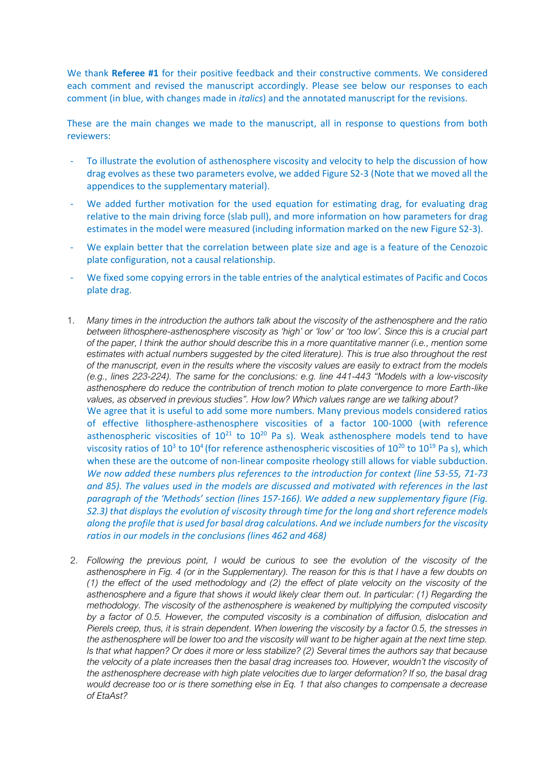We thank **Referee #1** for their positive feedback and their constructive comments. We considered each comment and revised the manuscript accordingly. Please see below our responses to each comment (in blue, with changes made in *italics*) and the annotated manuscript for the revisions.

These are the main changes we made to the manuscript, all in response to questions from both reviewers:

- To illustrate the evolution of asthenosphere viscosity and velocity to help the discussion of how drag evolves as these two parameters evolve, we added Figure S2-3 (Note that we moved all the appendices to the supplementary material).
- We added further motivation for the used equation for estimating drag, for evaluating drag relative to the main driving force (slab pull), and more information on how parameters for drag estimates in the model were measured (including information marked on the new Figure S2-3).
- We explain better that the correlation between plate size and age is a feature of the Cenozoic plate configuration, not a causal relationship.
- We fixed some copying errors in the table entries of the analytical estimates of Pacific and Cocos plate drag.
- 1. *Many times in the introduction the authors talk about the viscosity of the asthenosphere and the ratio between lithosphere-asthenosphere viscosity as 'high' or 'low' or 'too low'. Since this is a crucial part of the paper, I think the author should describe this in a more quantitative manner (i.e., mention some estimates with actual numbers suggested by the cited literature). This is true also throughout the rest of the manuscript, even in the results where the viscosity values are easily to extract from the models (e.g., lines 223-224). The same for the conclusions: e.g. line 441-443 "Models with a low-viscosity asthenosphere do reduce the contribution of trench motion to plate convergence to more Earth-like values, as observed in previous studies". How low? Which values range are we talking about?* We agree that it is useful to add some more numbers. Many previous models considered ratios of effective lithosphere-asthenosphere viscosities of a factor 100-1000 (with reference asthenospheric viscosities of  $10^{21}$  to  $10^{20}$  Pa s). Weak asthenosphere models tend to have viscosity ratios of 10<sup>3</sup> to 10<sup>4</sup> (for reference asthenospheric viscosities of 10<sup>20</sup> to 10<sup>19</sup> Pa s), which when these are the outcome of non-linear composite rheology still allows for viable subduction. *We now added these numbers plus references to the introduction for context (line 53-55, 71-73 and 85). The values used in the models are discussed and motivated with references in the last paragraph of the 'Methods' section (lines 157-166). We added a new supplementary figure (Fig. S2.3) that displays the evolution of viscosity through time for the long and short reference models along the profile that is used for basal drag calculations. And we include numbers for the viscosity ratios in our models in the conclusions (lines 462 and 468)*
- 2. *Following the previous point, I would be curious to see the evolution of the viscosity of the asthenosphere in Fig. 4 (or in the Supplementary). The reason for this is that I have a few doubts on (1) the effect of the used methodology and (2) the effect of plate velocity on the viscosity of the asthenosphere and a figure that shows it would likely clear them out. In particular: (1) Regarding the methodology. The viscosity of the asthenosphere is weakened by multiplying the computed viscosity by a factor of 0.5. However, the computed viscosity is a combination of diffusion, dislocation and Pierels creep, thus, it is strain dependent. When lowering the viscosity by a factor 0.5, the stresses in the asthenosphere will be lower too and the viscosity will want to be higher again at the next time step. Is that what happen? Or does it more or less stabilize? (2) Several times the authors say that because the velocity of a plate increases then the basal drag increases too. However, wouldn't the viscosity of the asthenosphere decrease with high plate velocities due to larger deformation? If so, the basal drag would decrease too or is there something else in Eq. 1 that also changes to compensate a decrease of EtaAst?*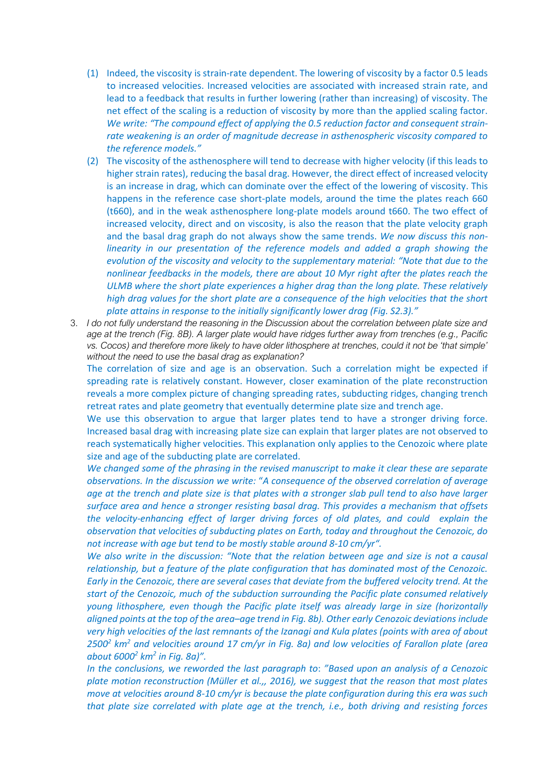- (1) Indeed, the viscosity is strain-rate dependent. The lowering of viscosity by a factor 0.5 leads to increased velocities. Increased velocities are associated with increased strain rate, and lead to a feedback that results in further lowering (rather than increasing) of viscosity. The net effect of the scaling is a reduction of viscosity by more than the applied scaling factor. *We write: "The compound effect of applying the 0.5 reduction factor and consequent strainrate weakening is an order of magnitude decrease in asthenospheric viscosity compared to the reference models."*
- (2) The viscosity of the asthenosphere will tend to decrease with higher velocity (if this leads to higher strain rates), reducing the basal drag. However, the direct effect of increased velocity is an increase in drag, which can dominate over the effect of the lowering of viscosity. This happens in the reference case short-plate models, around the time the plates reach 660 (t660), and in the weak asthenosphere long-plate models around t660. The two effect of increased velocity, direct and on viscosity, is also the reason that the plate velocity graph and the basal drag graph do not always show the same trends. *We now discuss this nonlinearity in our presentation of the reference models and added a graph showing the evolution of the viscosity and velocity to the supplementary material: "Note that due to the nonlinear feedbacks in the models, there are about 10 Myr right after the plates reach the ULMB where the short plate experiences a higher drag than the long plate. These relatively high drag values for the short plate are a consequence of the high velocities that the short plate attains in response to the initially significantly lower drag (Fig. S2.3)."*
- 3. *I do not fully understand the reasoning in the Discussion about the correlation between plate size and age at the trench (Fig. 8B). A larger plate would have ridges further away from trenches (e.g., Pacific vs. Cocos) and therefore more likely to have older lithosphere at trenches, could it not be 'that simple' without the need to use the basal drag as explanation?*

The correlation of size and age is an observation. Such a correlation might be expected if spreading rate is relatively constant. However, closer examination of the plate reconstruction reveals a more complex picture of changing spreading rates, subducting ridges, changing trench retreat rates and plate geometry that eventually determine plate size and trench age.

We use this observation to argue that larger plates tend to have a stronger driving force. Increased basal drag with increasing plate size can explain that larger plates are not observed to reach systematically higher velocities. This explanation only applies to the Cenozoic where plate size and age of the subducting plate are correlated.

*We changed some of the phrasing in the revised manuscript to make it clear these are separate observations. In the discussion we write:* "*A consequence of the observed correlation of average age at the trench and plate size is that plates with a stronger slab pull tend to also have larger surface area and hence a stronger resisting basal drag. This provides a mechanism that offsets the velocity-enhancing effect of larger driving forces of old plates, and could explain the observation that velocities of subducting plates on Earth, today and throughout the Cenozoic, do not increase with age but tend to be mostly stable around 8-10 cm/yr".* 

*We also write in the discussion: "Note that the relation between age and size is not a causal relationship, but a feature of the plate configuration that has dominated most of the Cenozoic. Early in the Cenozoic, there are several cases that deviate from the buffered velocity trend. At the start of the Cenozoic, much of the subduction surrounding the Pacific plate consumed relatively young lithosphere, even though the Pacific plate itself was already large in size (horizontally aligned points at the top of the area–age trend in Fig. 8b). Other early Cenozoic deviations include very high velocities of the last remnants of the Izanagi and Kula plates (points with area of about 2500<sup>2</sup> km<sup>2</sup> and velocities around 17 cm/yr in Fig. 8a) and low velocities of Farallon plate (area about 6000<sup>2</sup> km<sup>2</sup> in Fig. 8a)".* 

*In the conclusions, we reworded the last paragraph to*: *"Based upon an analysis of a Cenozoic plate motion reconstruction (Müller et al.,, 2016), we suggest that the reason that most plates move at velocities around 8-10 cm/yr is because the plate configuration during this era was such that plate size correlated with plate age at the trench, i.e., both driving and resisting forces*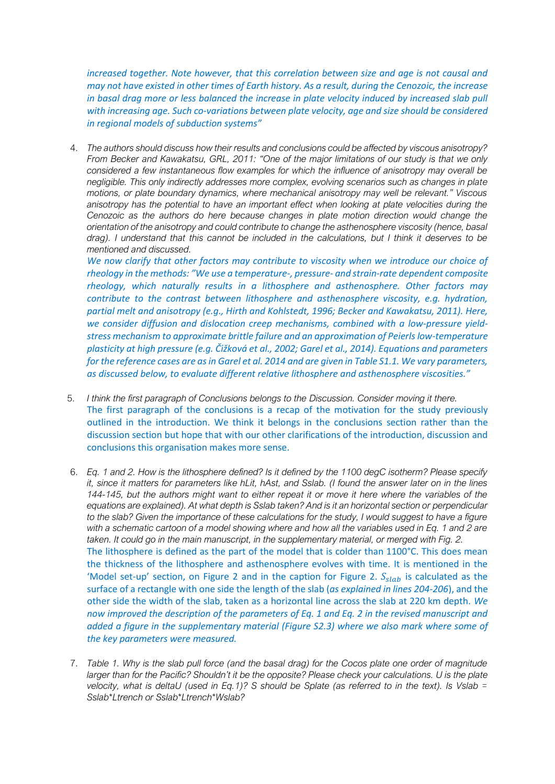*increased together. Note however, that this correlation between size and age is not causal and may not have existed in other times of Earth history. As a result, during the Cenozoic, the increase in basal drag more or less balanced the increase in plate velocity induced by increased slab pull with increasing age. Such co-variations between plate velocity, age and size should be considered in regional models of subduction systems"*

4. *The authors should discuss how their results and conclusions could be affected by viscous anisotropy? From Becker and Kawakatsu, GRL, 2011: "One of the major limitations of our study is that we only considered a few instantaneous flow examples for which the influence of anisotropy may overall be negligible. This only indirectly addresses more complex, evolving scenarios such as changes in plate motions, or plate boundary dynamics, where mechanical anisotropy may well be relevant." Viscous anisotropy has the potential to have an important effect when looking at plate velocities during the Cenozoic as the authors do here because changes in plate motion direction would change the orientation of the anisotropy and could contribute to change the asthenosphere viscosity (hence, basal drag). I understand that this cannot be included in the calculations, but I think it deserves to be mentioned and discussed.*

*We now clarify that other factors may contribute to viscosity when we introduce our choice of rheology in the methods: "We use a temperature-, pressure- and strain-rate dependent composite rheology, which naturally results in a lithosphere and asthenosphere. Other factors may contribute to the contrast between lithosphere and asthenosphere viscosity, e.g. hydration, partial melt and anisotropy (e.g., Hirth and Kohlstedt, 1996; Becker and Kawakatsu, 2011). Here, we consider diffusion and dislocation creep mechanisms, combined with a low-pressure yieldstress mechanism to approximate brittle failure and an approximation of Peierls low-temperature plasticity at high pressure (e.g. Čıžková et al., 2002; Garel et al., 2014). Equations and parameters ́ for the reference cases are as in Garel et al. 2014 and are given in Table S1.1. We vary parameters, as discussed below, to evaluate different relative lithosphere and asthenosphere viscosities."*

- 5. *I think the first paragraph of Conclusions belongs to the Discussion. Consider moving it there.* The first paragraph of the conclusions is a recap of the motivation for the study previously outlined in the introduction. We think it belongs in the conclusions section rather than the discussion section but hope that with our other clarifications of the introduction, discussion and conclusions this organisation makes more sense.
- 6. *Eq. 1 and 2. How is the lithosphere defined? Is it defined by the 1100 degC isotherm? Please specify it, since it matters for parameters like hLit, hAst, and Sslab. (I found the answer later on in the lines 144-145, but the authors might want to either repeat it or move it here where the variables of the equations are explained). At what depth is Sslab taken? And is it an horizontal section or perpendicular to the slab? Given the importance of these calculations for the study, I would suggest to have a figure*  with a schematic cartoon of a model showing where and how all the variables used in Eq. 1 and 2 are *taken. It could go in the main manuscript, in the supplementary material, or merged with Fig. 2.* The lithosphere is defined as the part of the model that is colder than 1100°C. This does mean the thickness of the lithosphere and asthenosphere evolves with time. It is mentioned in the 'Model set-up' section, on Figure 2 and in the caption for Figure 2.  $S_{slab}$  is calculated as the surface of a rectangle with one side the length of the slab (*as explained in lines 204-206*), and the other side the width of the slab, taken as a horizontal line across the slab at 220 km depth. *We now improved the description of the parameters of Eq. 1 and Eq. 2 in the revised manuscript and added a figure in the supplementary material (Figure S2.3) where we also mark where some of the key parameters were measured.*
- 7. *Table 1. Why is the slab pull force (and the basal drag) for the Cocos plate one order of magnitude larger than for the Pacific? Shouldn't it be the opposite? Please check your calculations. U is the plate velocity, what is deltaU (used in Eq.1)? S should be Splate (as referred to in the text). Is Vslab = Sslab\*Ltrench or Sslab\*Ltrench\*Wslab?*